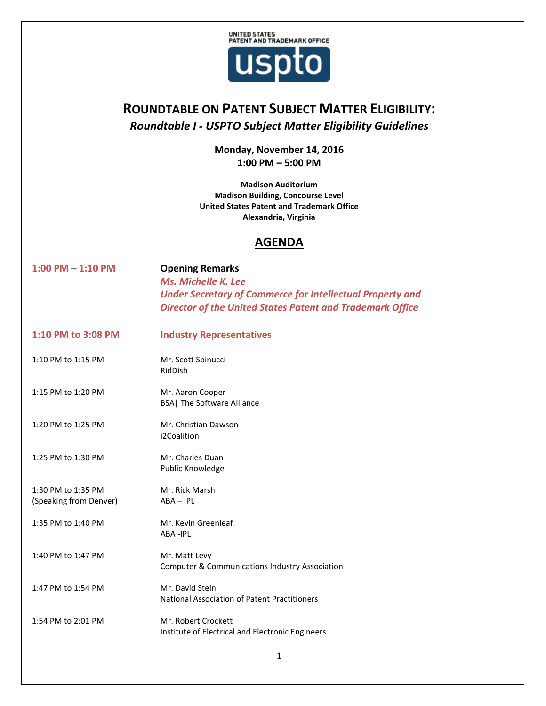

## **ROUNDTABLE ON PATENT SUBJECT MATTER ELIGIBILITY:** *Roundtable I - USPTO Subject Matter Eligibility Guidelines*

**Monday, November 14, 2016 1:00 PM – 5:00 PM**

**Madison Auditorium Madison Building, Concourse Level United States Patent and Trademark Office Alexandria, Virginia**

## **AGENDA**

| $1:00$ PM $- 1:10$ PM                        | <b>Opening Remarks</b><br>Ms. Michelle K. Lee<br><b>Under Secretary of Commerce for Intellectual Property and</b><br><b>Director of the United States Patent and Trademark Office</b> |
|----------------------------------------------|---------------------------------------------------------------------------------------------------------------------------------------------------------------------------------------|
| 1:10 PM to 3:08 PM                           | <b>Industry Representatives</b>                                                                                                                                                       |
| 1:10 PM to 1:15 PM                           | Mr. Scott Spinucci<br>RidDish                                                                                                                                                         |
| 1:15 PM to 1:20 PM                           | Mr. Aaron Cooper<br><b>BSA</b> The Software Alliance                                                                                                                                  |
| 1:20 PM to 1:25 PM                           | Mr. Christian Dawson<br>i2Coalition                                                                                                                                                   |
| 1:25 PM to 1:30 PM                           | Mr. Charles Duan<br>Public Knowledge                                                                                                                                                  |
| 1:30 PM to 1:35 PM<br>(Speaking from Denver) | Mr. Rick Marsh<br>$ABA - IPL$                                                                                                                                                         |
| 1:35 PM to 1:40 PM                           | Mr. Kevin Greenleaf<br>ABA-IPL                                                                                                                                                        |
| 1:40 PM to 1:47 PM                           | Mr. Matt Levy<br><b>Computer &amp; Communications Industry Association</b>                                                                                                            |
| 1:47 PM to 1:54 PM                           | Mr. David Stein<br>National Association of Patent Practitioners                                                                                                                       |
| 1:54 PM to 2:01 PM                           | Mr. Robert Crockett<br>Institute of Electrical and Electronic Engineers                                                                                                               |
|                                              |                                                                                                                                                                                       |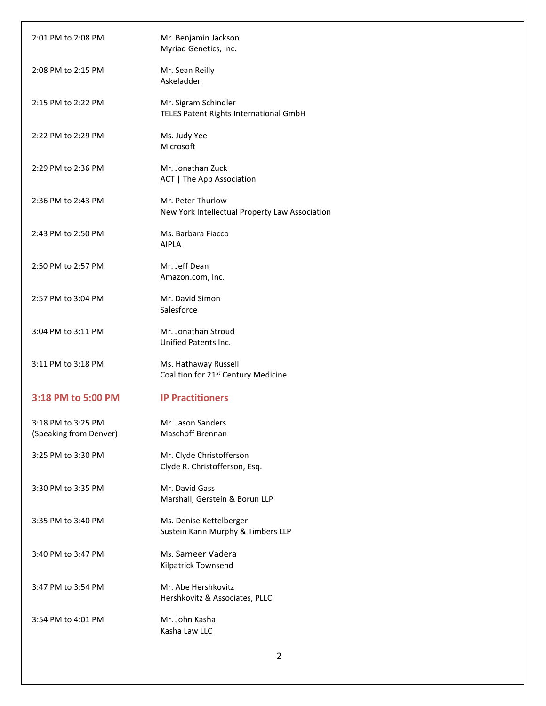| 2:01 PM to 2:08 PM                           | Mr. Benjamin Jackson<br>Myriad Genetics, Inc.                           |
|----------------------------------------------|-------------------------------------------------------------------------|
| 2:08 PM to 2:15 PM                           | Mr. Sean Reilly<br>Askeladden                                           |
| 2:15 PM to 2:22 PM                           | Mr. Sigram Schindler<br>TELES Patent Rights International GmbH          |
| 2:22 PM to 2:29 PM                           | Ms. Judy Yee<br>Microsoft                                               |
| 2:29 PM to 2:36 PM                           | Mr. Jonathan Zuck<br>ACT   The App Association                          |
| 2:36 PM to 2:43 PM                           | Mr. Peter Thurlow<br>New York Intellectual Property Law Association     |
| 2:43 PM to 2:50 PM                           | Ms. Barbara Fiacco<br><b>AIPLA</b>                                      |
| 2:50 PM to 2:57 PM                           | Mr. Jeff Dean<br>Amazon.com, Inc.                                       |
| 2:57 PM to 3:04 PM                           | Mr. David Simon<br>Salesforce                                           |
| 3:04 PM to 3:11 PM                           | Mr. Jonathan Stroud<br>Unified Patents Inc.                             |
| 3:11 PM to 3:18 PM                           | Ms. Hathaway Russell<br>Coalition for 21 <sup>st</sup> Century Medicine |
| 3:18 PM to 5:00 PM                           | <b>IP Practitioners</b>                                                 |
| 3:18 PM to 3:25 PM<br>(Speaking from Denver) | Mr. Jason Sanders<br><b>Maschoff Brennan</b>                            |
| 3:25 PM to 3:30 PM                           | Mr. Clyde Christofferson<br>Clyde R. Christofferson, Esq.               |
| 3:30 PM to 3:35 PM                           | Mr. David Gass<br>Marshall, Gerstein & Borun LLP                        |
| 3:35 PM to 3:40 PM                           | Ms. Denise Kettelberger<br>Sustein Kann Murphy & Timbers LLP            |
| 3:40 PM to 3:47 PM                           | Ms. Sameer Vadera<br>Kilpatrick Townsend                                |
| 3:47 PM to 3:54 PM                           | Mr. Abe Hershkovitz<br>Hershkovitz & Associates, PLLC                   |
| 3:54 PM to 4:01 PM                           | Mr. John Kasha<br>Kasha Law LLC                                         |